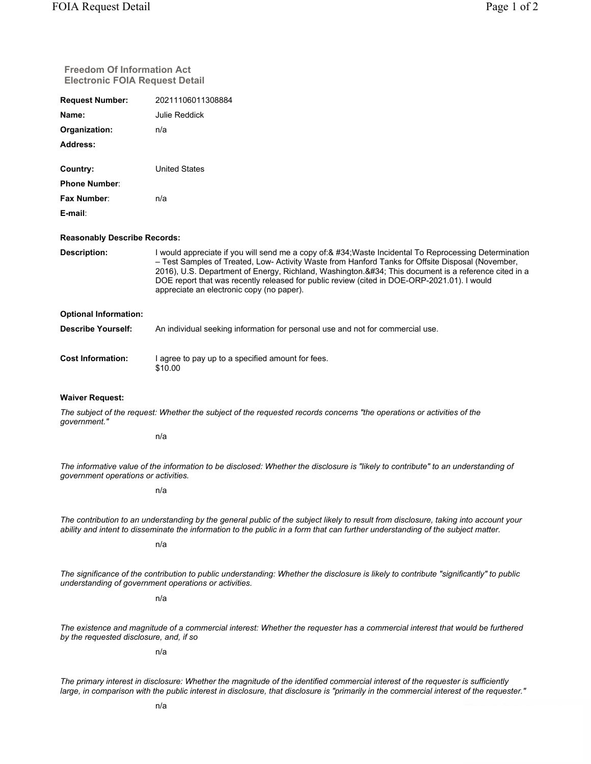| <b>Freedom Of Information Act</b><br><b>Electronic FOIA Request Detail</b>                                                                                                                                                                                              |                                                                                                                                                                                                                                                                                                                                                                                                                                                             |  |
|-------------------------------------------------------------------------------------------------------------------------------------------------------------------------------------------------------------------------------------------------------------------------|-------------------------------------------------------------------------------------------------------------------------------------------------------------------------------------------------------------------------------------------------------------------------------------------------------------------------------------------------------------------------------------------------------------------------------------------------------------|--|
| <b>Request Number:</b>                                                                                                                                                                                                                                                  | 20211106011308884                                                                                                                                                                                                                                                                                                                                                                                                                                           |  |
| Name:                                                                                                                                                                                                                                                                   | <b>Julie Reddick</b>                                                                                                                                                                                                                                                                                                                                                                                                                                        |  |
| Organization:                                                                                                                                                                                                                                                           | n/a                                                                                                                                                                                                                                                                                                                                                                                                                                                         |  |
| Address:                                                                                                                                                                                                                                                                |                                                                                                                                                                                                                                                                                                                                                                                                                                                             |  |
| Country:                                                                                                                                                                                                                                                                | <b>United States</b>                                                                                                                                                                                                                                                                                                                                                                                                                                        |  |
| <b>Phone Number:</b>                                                                                                                                                                                                                                                    |                                                                                                                                                                                                                                                                                                                                                                                                                                                             |  |
| <b>Fax Number:</b>                                                                                                                                                                                                                                                      | n/a                                                                                                                                                                                                                                                                                                                                                                                                                                                         |  |
| E-mail:                                                                                                                                                                                                                                                                 |                                                                                                                                                                                                                                                                                                                                                                                                                                                             |  |
| <b>Reasonably Describe Records:</b>                                                                                                                                                                                                                                     |                                                                                                                                                                                                                                                                                                                                                                                                                                                             |  |
| Description:                                                                                                                                                                                                                                                            | I would appreciate if you will send me a copy of:& #34; Waste Incidental To Reprocessing Determination<br>- Test Samples of Treated, Low- Activity Waste from Hanford Tanks for Offsite Disposal (November,<br>2016), U.S. Department of Energy, Richland, Washington." This document is a reference cited in a<br>DOE report that was recently released for public review (cited in DOE-ORP-2021.01). I would<br>appreciate an electronic copy (no paper). |  |
| <b>Optional Information:</b>                                                                                                                                                                                                                                            |                                                                                                                                                                                                                                                                                                                                                                                                                                                             |  |
| <b>Describe Yourself:</b>                                                                                                                                                                                                                                               | An individual seeking information for personal use and not for commercial use.                                                                                                                                                                                                                                                                                                                                                                              |  |
| <b>Cost Information:</b>                                                                                                                                                                                                                                                | I agree to pay up to a specified amount for fees.<br>\$10.00                                                                                                                                                                                                                                                                                                                                                                                                |  |
| <b>Waiver Request:</b>                                                                                                                                                                                                                                                  |                                                                                                                                                                                                                                                                                                                                                                                                                                                             |  |
| government."                                                                                                                                                                                                                                                            | The subject of the request: Whether the subject of the requested records concerns "the operations or activities of the                                                                                                                                                                                                                                                                                                                                      |  |
|                                                                                                                                                                                                                                                                         | n/a                                                                                                                                                                                                                                                                                                                                                                                                                                                         |  |
| The informative value of the information to be disclosed: Whether the disclosure is "likely to contribute" to an understanding of<br>government operations or activities.                                                                                               |                                                                                                                                                                                                                                                                                                                                                                                                                                                             |  |
|                                                                                                                                                                                                                                                                         | n/a                                                                                                                                                                                                                                                                                                                                                                                                                                                         |  |
| The contribution to an understanding by the general public of the subject likely to result from disclosure, taking into account your<br>ability and intent to disseminate the information to the public in a form that can further understanding of the subject matter. |                                                                                                                                                                                                                                                                                                                                                                                                                                                             |  |
|                                                                                                                                                                                                                                                                         | n/a                                                                                                                                                                                                                                                                                                                                                                                                                                                         |  |
|                                                                                                                                                                                                                                                                         | The significance of the contribution to public understanding: Whether the disclosure is likely to contribute "significantly" to public<br>understanding of government operations or activities.                                                                                                                                                                                                                                                             |  |
|                                                                                                                                                                                                                                                                         | n/a                                                                                                                                                                                                                                                                                                                                                                                                                                                         |  |
| The existence and magnitude of a commercial interest: Whether the requester has a commercial interest that would be furthered<br>by the requested disclosure, and, if so                                                                                                |                                                                                                                                                                                                                                                                                                                                                                                                                                                             |  |
|                                                                                                                                                                                                                                                                         | n/a                                                                                                                                                                                                                                                                                                                                                                                                                                                         |  |

*The primary interest in disclosure: Whether the magnitude of the identified commercial interest of the requester is sufficiently large, in comparison with the public interest in disclosure, that disclosure is "primarily in the commercial interest of the requester."*